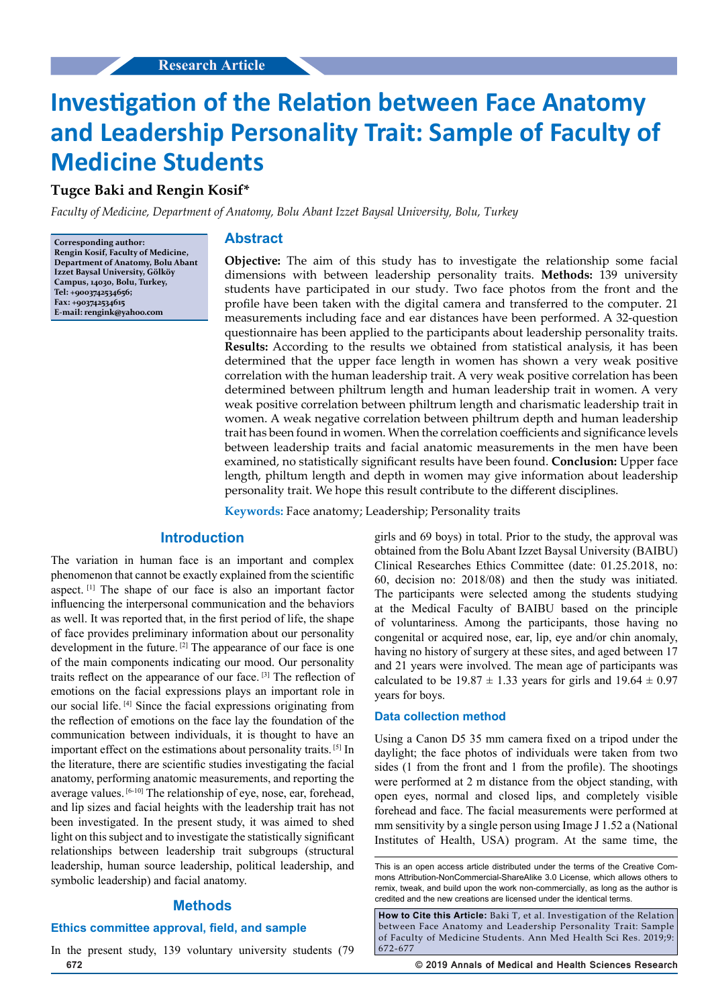# **Investigation of the Relation between Face Anatomy and Leadership Personality Trait: Sample of Faculty of Medicine Students**

**Tugce Baki and Rengin Kosif\***

*Faculty of Medicine, Department of Anatomy, Bolu Abant Izzet Baysal University, Bolu, Turkey*

**Corresponding author: Rengin Kosif, Faculty of Medicine, Department of Anatomy, Bolu Abant Izzet Baysal University, Gölköy Campus, 14030, Bolu, Turkey, Tel: +9003742534656; Fax: +903742534615 E-mail: rengink@yahoo.com**

## **Abstract**

**Objective:** The aim of this study has to investigate the relationship some facial dimensions with between leadership personality traits. **Methods:** 139 university students have participated in our study. Two face photos from the front and the profile have been taken with the digital camera and transferred to the computer. 21 measurements including face and ear distances have been performed. A 32-question questionnaire has been applied to the participants about leadership personality traits. **Results:** According to the results we obtained from statistical analysis, it has been determined that the upper face length in women has shown a very weak positive correlation with the human leadership trait. A very weak positive correlation has been determined between philtrum length and human leadership trait in women. A very weak positive correlation between philtrum length and charismatic leadership trait in women. A weak negative correlation between philtrum depth and human leadership trait has been found in women. When the correlation coefficients and significance levels between leadership traits and facial anatomic measurements in the men have been examined, no statistically significant results have been found. **Conclusion:** Upper face length, philtum length and depth in women may give information about leadership personality trait. We hope this result contribute to the different disciplines.

**Keywords:** Face anatomy; Leadership; Personality traits

## **Introduction**

The variation in human face is an important and complex phenomenon that cannot be exactly explained from the scientific aspect. [1] The shape of our face is also an important factor influencing the interpersonal communication and the behaviors as well. It was reported that, in the first period of life, the shape of face provides preliminary information about our personality development in the future. <sup>[2]</sup> The appearance of our face is one of the main components indicating our mood. Our personality traits reflect on the appearance of our face. [3] The reflection of emotions on the facial expressions plays an important role in our social life. [4] Since the facial expressions originating from the reflection of emotions on the face lay the foundation of the communication between individuals, it is thought to have an important effect on the estimations about personality traits. [5] In the literature, there are scientific studies investigating the facial anatomy, performing anatomic measurements, and reporting the average values. [6-10] The relationship of eye, nose, ear, forehead, and lip sizes and facial heights with the leadership trait has not been investigated. In the present study, it was aimed to shed light on this subject and to investigate the statistically significant relationships between leadership trait subgroups (structural leadership, human source leadership, political leadership, and symbolic leadership) and facial anatomy.

### **Methods**

## **Ethics committee approval, field, and sample**

**672 © 2019 Annals of Medical and Health Sciences Research**  In the present study, 139 voluntary university students (79

girls and 69 boys) in total. Prior to the study, the approval was obtained from the Bolu Abant Izzet Baysal University (BAIBU) Clinical Researches Ethics Committee (date: 01.25.2018, no: 60, decision no: 2018/08) and then the study was initiated. The participants were selected among the students studying at the Medical Faculty of BAIBU based on the principle of voluntariness. Among the participants, those having no congenital or acquired nose, ear, lip, eye and/or chin anomaly, having no history of surgery at these sites, and aged between 17 and 21 years were involved. The mean age of participants was calculated to be  $19.87 \pm 1.33$  years for girls and  $19.64 \pm 0.97$ years for boys.

#### **Data collection method**

Using a Canon D5 35 mm camera fixed on a tripod under the daylight; the face photos of individuals were taken from two sides (1 from the front and 1 from the profile). The shootings were performed at 2 m distance from the object standing, with open eyes, normal and closed lips, and completely visible forehead and face. The facial measurements were performed at mm sensitivity by a single person using Image J 1.52 a (National Institutes of Health, USA) program. At the same time, the

This is an open access article distributed under the terms of the Creative Com‑ mons Attribution-NonCommercial-ShareAlike 3.0 License, which allows others to remix, tweak, and build upon the work non-commercially, as long as the author is credited and the new creations are licensed under the identical terms.

**How to Cite this Article:** Baki T, et al. Investigation of the Relation between Face Anatomy and Leadership Personality Trait: Sample of Faculty of Medicine Students. Ann Med Health Sci Res. 2019;9: 672-677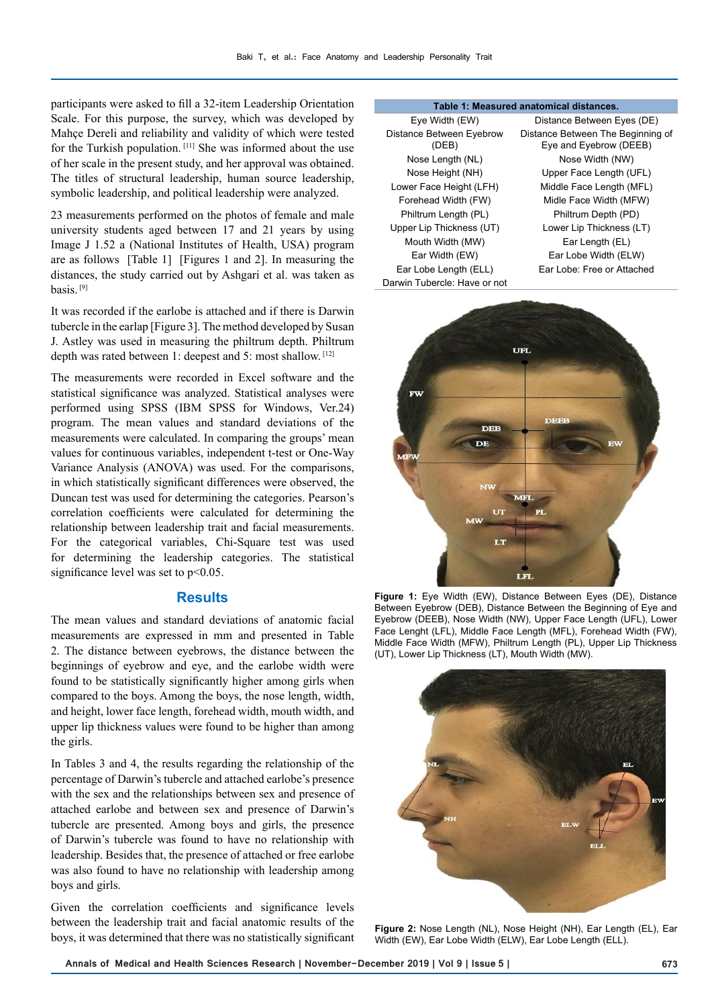participants were asked to fill a 32-item Leadership Orientation Scale. For this purpose, the survey, which was developed by Mahçe Dereli and reliability and validity of which were tested for the Turkish population. [11] She was informed about the use of her scale in the present study, and her approval was obtained. The titles of structural leadership, human source leadership, symbolic leadership, and political leadership were analyzed.

23 measurements performed on the photos of female and male university students aged between 17 and 21 years by using Image J 1.52 a (National Institutes of Health, USA) program are as follows [Table 1] [Figures 1 and 2]. In measuring the distances, the study carried out by Ashgari et al. was taken as basis. [9]

It was recorded if the earlobe is attached and if there is Darwin tubercle in the earlap [Figure 3]. The method developed by Susan J. Astley was used in measuring the philtrum depth. Philtrum depth was rated between 1: deepest and 5: most shallow. [12]

The measurements were recorded in Excel software and the statistical significance was analyzed. Statistical analyses were performed using SPSS (IBM SPSS for Windows, Ver.24) program. The mean values and standard deviations of the measurements were calculated. In comparing the groups' mean values for continuous variables, independent t-test or One-Way Variance Analysis (ANOVA) was used. For the comparisons, in which statistically significant differences were observed, the Duncan test was used for determining the categories. Pearson's correlation coefficients were calculated for determining the relationship between leadership trait and facial measurements. For the categorical variables, Chi-Square test was used for determining the leadership categories. The statistical significance level was set to  $p<0.05$ .

#### **Results**

The mean values and standard deviations of anatomic facial measurements are expressed in mm and presented in Table 2. The distance between eyebrows, the distance between the beginnings of eyebrow and eye, and the earlobe width were found to be statistically significantly higher among girls when compared to the boys. Among the boys, the nose length, width, and height, lower face length, forehead width, mouth width, and upper lip thickness values were found to be higher than among the girls.

In Tables 3 and 4, the results regarding the relationship of the percentage of Darwin's tubercle and attached earlobe's presence with the sex and the relationships between sex and presence of attached earlobe and between sex and presence of Darwin's tubercle are presented. Among boys and girls, the presence of Darwin's tubercle was found to have no relationship with leadership. Besides that, the presence of attached or free earlobe was also found to have no relationship with leadership among boys and girls.

Given the correlation coefficients and significance levels between the leadership trait and facial anatomic results of the boys, it was determined that there was no statistically significant

#### **Table 1: Measured anatomical distances.**

| Eye Width (EW)                    |
|-----------------------------------|
| Distance Between Eyebrow<br>(DEB) |
| Nose Length (NL)                  |
| Nose Height (NH)                  |
| Lower Face Height (LFH)           |
| Forehead Width (FW)               |
| Philtrum Length (PL)              |
| Upper Lip Thickness (UT)          |
| Mouth Width (MW)                  |
| Ear Width (EW)                    |
| Ear Lobe Length (ELL)             |
| Darwin Tubercle: Have or not      |

Distance Between Eyes (DE) Distance Between The Beginning of Eye and Eyebrow (DEEB) Nose Width (NW) Upper Face Length (UFL) Middle Face Length (MFL) Midle Face Width (MFW) Philtrum Depth (PD) Lower Lip Thickness (LT) Ear Length (EL) Ear Lobe Width (ELW) Ear Lobe: Free or Attached



**Figure 1:** Eye Width (EW), Distance Between Eyes (DE), Distance Between Eyebrow (DEB), Distance Between the Beginning of Eye and Eyebrow (DEEB), Nose Width (NW), Upper Face Length (UFL), Lower Face Lenght (LFL), Middle Face Length (MFL), Forehead Width (FW), Middle Face Width (MFW), Philtrum Length (PL), Upper Lip Thickness (UT), Lower Lip Thickness (LT), Mouth Width (MW).



**Figure 2:** Nose Length (NL), Nose Height (NH), Ear Length (EL), Ear Width (EW), Ear Lobe Width (ELW), Ear Lobe Length (ELL).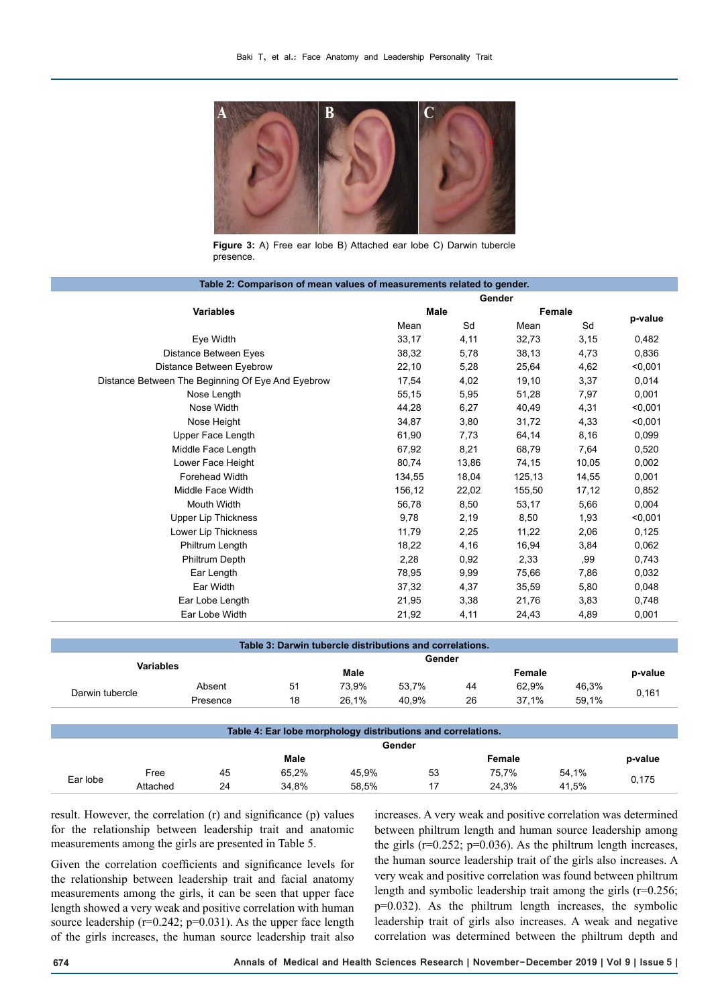

**Figure 3:** A) Free ear lobe B) Attached ear lobe C) Darwin tubercle presence.

| Table 2: Comparison of mean values of measurements related to gender. |             |       |        |        |         |  |  |
|-----------------------------------------------------------------------|-------------|-------|--------|--------|---------|--|--|
|                                                                       | Gender      |       |        |        |         |  |  |
| <b>Variables</b>                                                      | <b>Male</b> |       |        | Female |         |  |  |
|                                                                       | Mean        | Sd    | Mean   | Sd     | p-value |  |  |
| Eye Width                                                             | 33,17       | 4,11  | 32,73  | 3,15   | 0,482   |  |  |
| Distance Between Eyes                                                 | 38,32       | 5,78  | 38,13  | 4,73   | 0,836   |  |  |
| Distance Between Eyebrow                                              | 22,10       | 5,28  | 25,64  | 4,62   | < 0,001 |  |  |
| Distance Between The Beginning Of Eye And Eyebrow                     | 17,54       | 4,02  | 19,10  | 3,37   | 0,014   |  |  |
| Nose Length                                                           | 55,15       | 5,95  | 51,28  | 7,97   | 0,001   |  |  |
| Nose Width                                                            | 44,28       | 6,27  | 40,49  | 4,31   | < 0.001 |  |  |
| Nose Height                                                           | 34,87       | 3,80  | 31,72  | 4,33   | < 0,001 |  |  |
| Upper Face Length                                                     | 61,90       | 7,73  | 64,14  | 8,16   | 0,099   |  |  |
| Middle Face Length                                                    | 67,92       | 8,21  | 68,79  | 7,64   | 0,520   |  |  |
| Lower Face Height                                                     | 80,74       | 13,86 | 74,15  | 10,05  | 0,002   |  |  |
| Forehead Width                                                        | 134,55      | 18,04 | 125,13 | 14,55  | 0,001   |  |  |
| Middle Face Width                                                     | 156,12      | 22,02 | 155,50 | 17, 12 | 0,852   |  |  |
| Mouth Width                                                           | 56,78       | 8,50  | 53,17  | 5,66   | 0,004   |  |  |
| <b>Upper Lip Thickness</b>                                            | 9,78        | 2,19  | 8,50   | 1,93   | < 0,001 |  |  |
| Lower Lip Thickness                                                   | 11,79       | 2,25  | 11,22  | 2,06   | 0,125   |  |  |
| Philtrum Length                                                       | 18,22       | 4,16  | 16,94  | 3,84   | 0,062   |  |  |
| Philtrum Depth                                                        | 2,28        | 0,92  | 2,33   | ,99    | 0,743   |  |  |
| Ear Length                                                            | 78,95       | 9,99  | 75,66  | 7,86   | 0,032   |  |  |
| Ear Width                                                             | 37,32       | 4,37  | 35,59  | 5,80   | 0,048   |  |  |
| Ear Lobe Length                                                       | 21,95       | 3,38  | 21,76  | 3,83   | 0,748   |  |  |
| Ear Lobe Width                                                        | 21,92       | 4,11  | 24,43  | 4,89   | 0,001   |  |  |
|                                                                       |             |       |        |        |         |  |  |

| Table 3: Darwin tubercle distributions and correlations. |          |        |       |       |        |       |       |         |
|----------------------------------------------------------|----------|--------|-------|-------|--------|-------|-------|---------|
| Variables                                                |          | Gender |       |       |        |       |       |         |
|                                                          |          | Male   |       |       | Female |       |       | p-value |
|                                                          | Absent   | 51     | 73.9% | 53.7% | 44     | 62.9% | 46,3% | 0,161   |
| Darwin tubercle                                          | Presence | 18     | 26.1% | 40.9% | 26     | 37.1% | 59.1% |         |
|                                                          |          |        |       |       |        |       |       |         |

| Table 4: Ear lobe morphology distributions and correlations. |          |    |       |       |    |        |       |         |  |
|--------------------------------------------------------------|----------|----|-------|-------|----|--------|-------|---------|--|
| Gender                                                       |          |    |       |       |    |        |       |         |  |
|                                                              |          |    | Male  |       |    | Female |       | p-value |  |
|                                                              | Free     | 45 | 65.2% | 45.9% | 53 | 75.7%  | 54,1% |         |  |
| Ear lobe                                                     | Attached | 24 | 34.8% | 58.5% |    | 24.3%  | 41.5% | 0,175   |  |

result. However, the correlation (r) and significance (p) values for the relationship between leadership trait and anatomic measurements among the girls are presented in Table 5.

Given the correlation coefficients and significance levels for the relationship between leadership trait and facial anatomy measurements among the girls, it can be seen that upper face length showed a very weak and positive correlation with human source leadership ( $r=0.242$ ;  $p=0.031$ ). As the upper face length of the girls increases, the human source leadership trait also

increases. A very weak and positive correlation was determined between philtrum length and human source leadership among the girls  $(r=0.252; p=0.036)$ . As the philtrum length increases, the human source leadership trait of the girls also increases. A very weak and positive correlation was found between philtrum length and symbolic leadership trait among the girls (r=0.256; p=0.032). As the philtrum length increases, the symbolic leadership trait of girls also increases. A weak and negative correlation was determined between the philtrum depth and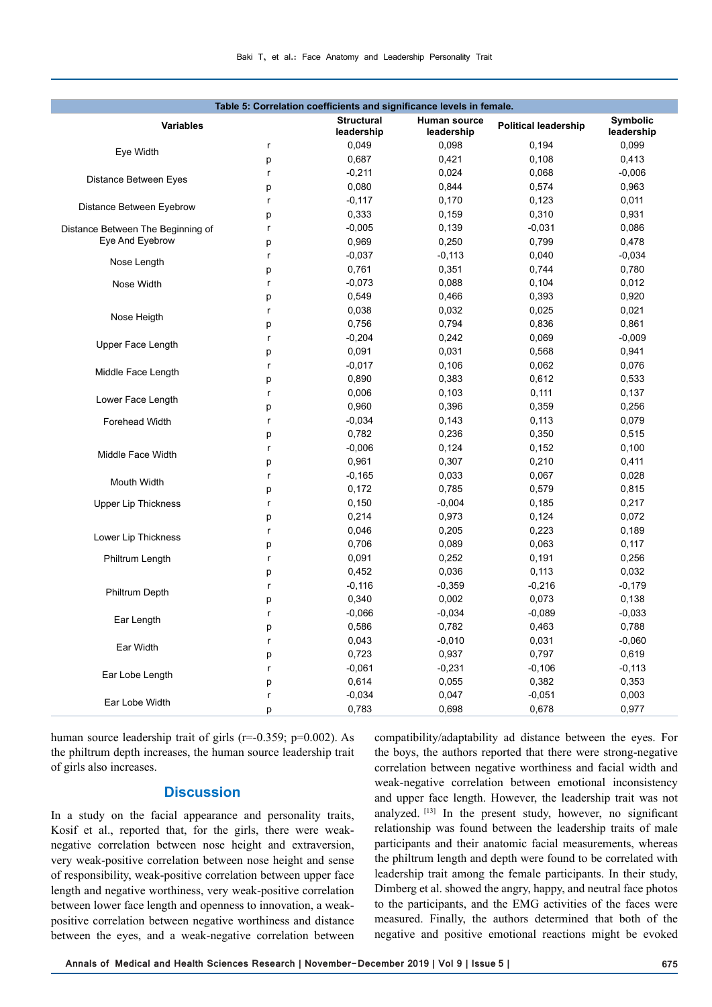| Table 5: Correlation coefficients and significance levels in female. |              |                                 |                            |                             |                               |  |  |  |
|----------------------------------------------------------------------|--------------|---------------------------------|----------------------------|-----------------------------|-------------------------------|--|--|--|
| <b>Variables</b>                                                     |              | <b>Structural</b><br>leadership | Human source<br>leadership | <b>Political leadership</b> | <b>Symbolic</b><br>leadership |  |  |  |
|                                                                      | r            | 0,049                           | 0,098                      | 0,194                       | 0,099                         |  |  |  |
| Eye Width                                                            | p            | 0,687                           | 0,421                      | 0,108                       | 0,413                         |  |  |  |
|                                                                      | r            | $-0,211$                        | 0,024                      | 0,068                       | $-0,006$                      |  |  |  |
| <b>Distance Between Eyes</b>                                         | p            | 0,080                           | 0,844                      | 0,574                       | 0,963                         |  |  |  |
|                                                                      | r            | $-0,117$                        | 0,170                      | 0,123                       | 0,011                         |  |  |  |
| Distance Between Eyebrow                                             | p            | 0,333                           | 0,159                      | 0,310                       | 0,931                         |  |  |  |
| Distance Between The Beginning of                                    | r            | $-0,005$                        | 0,139                      | $-0,031$                    | 0,086                         |  |  |  |
| Eye And Eyebrow                                                      | p            | 0,969                           | 0,250                      | 0,799                       | 0,478                         |  |  |  |
|                                                                      | r            | $-0,037$                        | $-0,113$                   | 0,040                       | $-0,034$                      |  |  |  |
| Nose Length                                                          | p            | 0,761                           | 0,351                      | 0,744                       | 0,780                         |  |  |  |
| Nose Width                                                           | r            | $-0,073$                        | 0,088                      | 0,104                       | 0,012                         |  |  |  |
|                                                                      | p            | 0,549                           | 0,466                      | 0,393                       | 0,920                         |  |  |  |
| Nose Heigth                                                          | r            | 0,038                           | 0,032                      | 0,025                       | 0,021                         |  |  |  |
|                                                                      | p            | 0,756                           | 0,794                      | 0,836                       | 0,861                         |  |  |  |
|                                                                      | $\mathsf{r}$ | $-0,204$                        | 0,242                      | 0,069                       | $-0,009$                      |  |  |  |
| Upper Face Length                                                    | p            | 0,091                           | 0,031                      | 0,568                       | 0,941                         |  |  |  |
|                                                                      | r            | $-0,017$                        | 0,106                      | 0,062                       | 0,076                         |  |  |  |
| Middle Face Length                                                   | p            | 0,890                           | 0,383                      | 0,612                       | 0,533                         |  |  |  |
|                                                                      | r            | 0,006                           | 0,103                      | 0,111                       | 0,137                         |  |  |  |
| Lower Face Length                                                    | p            | 0,960                           | 0,396                      | 0,359                       | 0,256                         |  |  |  |
| Forehead Width                                                       | $\mathsf{r}$ | $-0,034$                        | 0,143                      | 0,113                       | 0,079                         |  |  |  |
|                                                                      | р            | 0,782                           | 0,236                      | 0,350                       | 0,515                         |  |  |  |
| Middle Face Width                                                    | $\mathsf{r}$ | $-0,006$                        | 0,124                      | 0,152                       | 0,100                         |  |  |  |
|                                                                      | p            | 0,961                           | 0,307                      | 0,210                       | 0,411                         |  |  |  |
| Mouth Width                                                          | $\mathsf{r}$ | $-0,165$                        | 0,033                      | 0,067                       | 0,028                         |  |  |  |
|                                                                      | p            | 0,172                           | 0,785                      | 0,579                       | 0,815                         |  |  |  |
| <b>Upper Lip Thickness</b>                                           | r            | 0,150                           | $-0,004$                   | 0,185                       | 0,217                         |  |  |  |
|                                                                      | p            | 0,214                           | 0,973                      | 0,124                       | 0,072                         |  |  |  |
| Lower Lip Thickness                                                  | $\mathsf{r}$ | 0,046                           | 0,205                      | 0,223                       | 0,189                         |  |  |  |
|                                                                      | p            | 0,706                           | 0,089                      | 0,063                       | 0,117                         |  |  |  |
| Philtrum Length                                                      | $\mathsf{r}$ | 0,091                           | 0,252                      | 0,191                       | 0,256                         |  |  |  |
|                                                                      | p            | 0,452                           | 0,036                      | 0,113                       | 0,032                         |  |  |  |
| Philtrum Depth                                                       | $\mathsf{r}$ | $-0,116$                        | $-0,359$                   | $-0,216$                    | $-0,179$                      |  |  |  |
|                                                                      | p            | 0,340                           | 0,002                      | 0,073                       | 0,138                         |  |  |  |
| Ear Length                                                           | $\mathsf{r}$ | $-0,066$                        | $-0,034$                   | $-0,089$                    | $-0,033$                      |  |  |  |
|                                                                      | p            | 0,586                           | 0,782                      | 0,463                       | 0,788                         |  |  |  |
| Ear Width                                                            | $\mathsf{r}$ | 0,043                           | $-0,010$                   | 0,031                       | $-0,060$                      |  |  |  |
|                                                                      | p            | 0,723                           | 0,937                      | 0,797                       | 0,619                         |  |  |  |
| Ear Lobe Length                                                      | r            | $-0,061$                        | $-0,231$                   | $-0,106$                    | $-0,113$                      |  |  |  |
|                                                                      | p            | 0,614                           | 0,055                      | 0,382                       | 0,353                         |  |  |  |
| Ear Lobe Width                                                       | r            | $-0,034$                        | 0,047                      | $-0,051$                    | 0,003                         |  |  |  |
|                                                                      | p            | 0,783                           | 0,698                      | 0,678                       | 0,977                         |  |  |  |

human source leadership trait of girls (r=-0.359; p=0.002). As the philtrum depth increases, the human source leadership trait of girls also increases.

## **Discussion**

In a study on the facial appearance and personality traits, Kosif et al., reported that, for the girls, there were weaknegative correlation between nose height and extraversion, very weak-positive correlation between nose height and sense of responsibility, weak-positive correlation between upper face length and negative worthiness, very weak-positive correlation between lower face length and openness to innovation, a weakpositive correlation between negative worthiness and distance between the eyes, and a weak-negative correlation between

compatibility/adaptability ad distance between the eyes. For the boys, the authors reported that there were strong-negative correlation between negative worthiness and facial width and weak-negative correlation between emotional inconsistency and upper face length. However, the leadership trait was not analyzed. [13] In the present study, however, no significant relationship was found between the leadership traits of male participants and their anatomic facial measurements, whereas the philtrum length and depth were found to be correlated with leadership trait among the female participants. In their study, Dimberg et al. showed the angry, happy, and neutral face photos to the participants, and the EMG activities of the faces were measured. Finally, the authors determined that both of the negative and positive emotional reactions might be evoked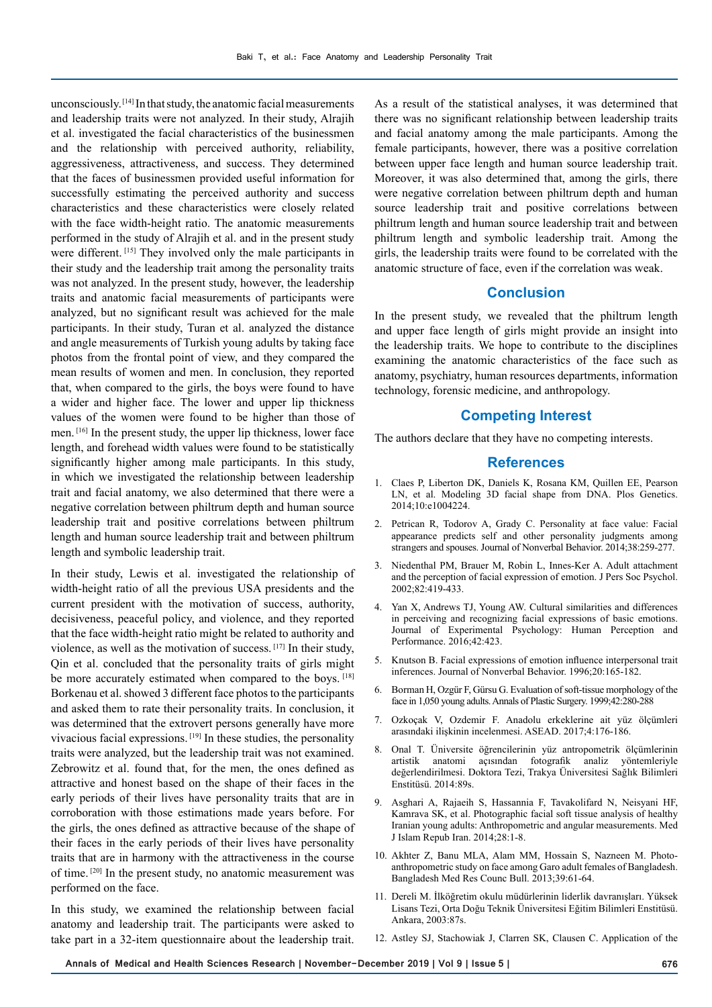unconsciously. [14] In that study, the anatomic facial measurements and leadership traits were not analyzed. In their study, Alrajih et al. investigated the facial characteristics of the businessmen and the relationship with perceived authority, reliability, aggressiveness, attractiveness, and success. They determined that the faces of businessmen provided useful information for successfully estimating the perceived authority and success characteristics and these characteristics were closely related with the face width-height ratio. The anatomic measurements performed in the study of Alrajih et al. and in the present study were different. [15] They involved only the male participants in their study and the leadership trait among the personality traits was not analyzed. In the present study, however, the leadership traits and anatomic facial measurements of participants were analyzed, but no significant result was achieved for the male participants. In their study, Turan et al. analyzed the distance and angle measurements of Turkish young adults by taking face photos from the frontal point of view, and they compared the mean results of women and men. In conclusion, they reported that, when compared to the girls, the boys were found to have a wider and higher face. The lower and upper lip thickness values of the women were found to be higher than those of men. [16] In the present study, the upper lip thickness, lower face length, and forehead width values were found to be statistically significantly higher among male participants. In this study, in which we investigated the relationship between leadership trait and facial anatomy, we also determined that there were a negative correlation between philtrum depth and human source leadership trait and positive correlations between philtrum length and human source leadership trait and between philtrum length and symbolic leadership trait.

In their study, Lewis et al. investigated the relationship of width-height ratio of all the previous USA presidents and the current president with the motivation of success, authority, decisiveness, peaceful policy, and violence, and they reported that the face width-height ratio might be related to authority and violence, as well as the motivation of success. [17] In their study, Qin et al. concluded that the personality traits of girls might be more accurately estimated when compared to the boys. [18] Borkenau et al. showed 3 different face photos to the participants and asked them to rate their personality traits. In conclusion, it was determined that the extrovert persons generally have more vivacious facial expressions. [19] In these studies, the personality traits were analyzed, but the leadership trait was not examined. Zebrowitz et al. found that, for the men, the ones defined as attractive and honest based on the shape of their faces in the early periods of their lives have personality traits that are in corroboration with those estimations made years before. For the girls, the ones defined as attractive because of the shape of their faces in the early periods of their lives have personality traits that are in harmony with the attractiveness in the course of time. [20] In the present study, no anatomic measurement was performed on the face.

In this study, we examined the relationship between facial anatomy and leadership trait. The participants were asked to take part in a 32-item questionnaire about the leadership trait.

As a result of the statistical analyses, it was determined that there was no significant relationship between leadership traits and facial anatomy among the male participants. Among the female participants, however, there was a positive correlation between upper face length and human source leadership trait. Moreover, it was also determined that, among the girls, there were negative correlation between philtrum depth and human source leadership trait and positive correlations between philtrum length and human source leadership trait and between philtrum length and symbolic leadership trait. Among the girls, the leadership traits were found to be correlated with the anatomic structure of face, even if the correlation was weak.

## **Conclusion**

In the present study, we revealed that the philtrum length and upper face length of girls might provide an insight into the leadership traits. We hope to contribute to the disciplines examining the anatomic characteristics of the face such as anatomy, psychiatry, human resources departments, information technology, forensic medicine, and anthropology.

#### **Competing Interest**

The authors declare that they have no competing interests.

### **References**

- 1. Claes P, Liberton DK, Daniels K, Rosana KM, Quillen EE, Pearson LN, et al. Modeling 3D facial shape from DNA. Plos Genetics. 2014;10:e1004224.
- 2. Petrican R, Todorov A, Grady C. Personality at face value: Facial appearance predicts self and other personality judgments among strangers and spouses. Journal of Nonverbal Behavior. 2014;38:259-277.
- 3. Niedenthal PM, Brauer M, Robin L, Innes-Ker A. Adult attachment and the perception of facial expression of emotion. J Pers Soc Psychol. 2002;82:419-433.
- 4. Yan X, Andrews TJ, Young AW. Cultural similarities and differences in perceiving and recognizing facial expressions of basic emotions. Journal of Experimental Psychology: Human Perception and Performance. 2016;42:423.
- 5. Knutson B. Facial expressions of emotion influence interpersonal trait inferences. Journal of Nonverbal Behavior. 1996;20:165-182.
- 6. Borman H, Ozgür F, Gürsu G. Evaluation of soft-tissue morphology of the face in 1,050 young adults. Annals of Plastic Surgery. 1999;42:280-288
- 7. Ozkoçak V, Ozdemir F. Anadolu erkeklerine ait yüz ölçümleri arasındaki ilişkinin incelenmesi. ASEAD. 2017;4:176-186.
- 8. Onal T. Üniversite öğrencilerinin yüz antropometrik ölçümlerinin artistik anatomi açısından fotografik analiz yöntemleriyle değerlendirilmesi. Doktora Tezi, Trakya Üniversitesi Sağlık Bilimleri Enstitüsü. 2014:89s.
- 9. Asghari A, Rajaeih S, Hassannia F, Tavakolifard N, Neisyani HF, Kamrava SK, et al. Photographic facial soft tissue analysis of healthy Iranian young adults: Anthropometric and angular measurements. Med J Islam Repub Iran. 2014;28:1-8.
- 10. Akhter Z, Banu MLA, Alam MM, Hossain S, Nazneen M. Photoanthropometric study on face among Garo adult females of Bangladesh. Bangladesh Med Res Counc Bull. 2013;39:61-64.
- 11. Dereli M. İlköğretim okulu müdürlerinin liderlik davranışları. Yüksek Lisans Tezi, Orta Doğu Teknik Üniversitesi Eğitim Bilimleri Enstitüsü. Ankara, 2003:87s.
- 12. Astley SJ, Stachowiak J, Clarren SK, Clausen C. Application of the